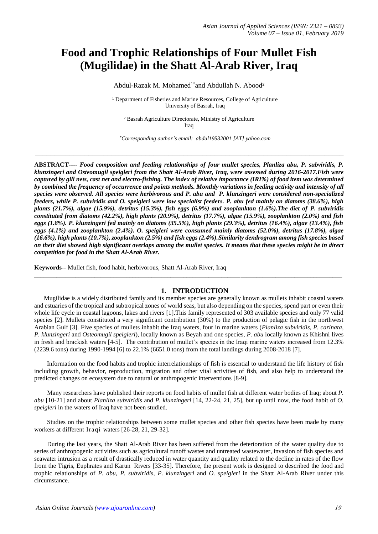# **Food and Trophic Relationships of Four Mullet Fish (Mugilidae) in the Shatt Al-Arab River, Iraq**

Abdul-Razak M. Mohamed<sup>1\*</sup> and Abdullah N. Abood<sup>2</sup>

<sup>1</sup> Department of Fisheries and Marine Resources, College of Agriculture University of Basrah, Iraq

² Basrah Agriculture Directorate, Ministry of Agriculture **Iraq** 

\_\_\_\_\_\_\_\_\_\_\_\_\_\_\_\_\_\_\_\_\_\_\_\_\_\_\_\_\_\_\_\_\_\_\_\_\_\_\_\_\_\_\_\_\_\_\_\_\_\_\_\_\_\_\_\_\_\_\_\_\_\_\_\_\_\_\_\_\_\_\_\_\_\_\_\_\_\_\_\_\_

*\*Corresponding author's email: abdul19532001 [AT] yahoo.com*

**ABSTRACT----** *Food composition and feeding relationships of four mullet species, Planliza abu, P. subviridis, P. klunzingeri and Osteomugil speigleri from the Shatt Al-Arab River, Iraq, were assessed during 2016-2017.Fish were captured by gill nets, cast net and electro-fishing. The index of relative importance (IRI%) of food item was determined by combined the frequency of occurrence and points methods. Monthly variations in feeding activity and intensity of all species were observed. All species were herbivorous and P. abu and P. klunzingeri were considered non-specialized feeders, while P. subviridis and O. speigleri were low specialist feeders. P. abu fed mainly on diatoms (38.6%), high plants (21.7%), algae (15.9%), detritus (15.3%), fish eggs (6.9%) and zooplankton (1.6%).The diet of P. subviridis constituted from diatoms (42.2%), high plants (20.9%), detritus (17.7%), algae (15.9%), zooplankton (2.0%) and fish eggs (1.8%). P. klunzingeri fed mainly on diatoms (35.5%), high plants (29.3%), detritus (16.4%), algae (13.4%), fish eggs (4.1%) and zooplankton (2.4%). O. speigleri were consumed mainly diatoms (52.0%), detritus (17.8%), algae (16.6%), high plants (10.7%), zooplankton (2.5%) and fish eggs (2.4%).Similarity dendrogram among fish species based on their diet showed high significant overlaps among the mullet species. It means that these species might be in direct competition for food in the Shatt Al-Arab River.*

**Keywords--** Mullet fish, food habit, herbivorous, Shatt Al-Arab River, Iraq

## **1. INTRODUCTION**

 $\_$  ,  $\_$  ,  $\_$  ,  $\_$  ,  $\_$  ,  $\_$  ,  $\_$  ,  $\_$  ,  $\_$  ,  $\_$  ,  $\_$  ,  $\_$  ,  $\_$  ,  $\_$  ,  $\_$  ,  $\_$  ,  $\_$  ,  $\_$  ,  $\_$  ,  $\_$  ,  $\_$  ,  $\_$  ,  $\_$  ,  $\_$  ,  $\_$  ,  $\_$  ,  $\_$  ,  $\_$  ,  $\_$  ,  $\_$  ,  $\_$  ,  $\_$  ,  $\_$  ,  $\_$  ,  $\_$  ,  $\_$  ,  $\_$  ,

 Mugilidae is a widely distributed family and its member species are generally known as mullets inhabit coastal waters and estuaries of the tropical and subtropical zones of world seas, but also depending on the species, spend part or even their whole life cycle in coastal lagoons, lakes and rivers [1]. This family represented of 303 available species and only 77 valid species [2]. Mullets constituted a very significant contribution (30%) to the production of pelagic fish in the northwest Arabian Gulf [3]. Five species of mullets inhabit the Iraq waters, four in marine waters (*Planliza subviridis, P. carinata, P. klunzingeri* and *Osteomugil speigleri*), locally known as Beyah and one species, *P. abu* locally known as Khishni lives in fresh and brackish waters [4-5]. The contribution of mullet's species in the Iraqi marine waters increased from 12.3% (2239.6 tons) during 1990-1994 [6] to 22.1% (6651.0 tons) from the total landings during 2008-2018 [7].

 Information on the food habits and trophic interrelationships of fish is essential to understand the life history of fish including growth, behavior, reproduction, migration and other vital activities of fish, and also help to understand the predicted changes on ecosystem due to natural or anthropogenic interventions [8-9].

 Many researchers have published their reports on food habits of mullet fish at different water bodies of Iraq; about *P. abu* [10-21] and about *Planliza subviridis* and *P. klunzingeri* [14, 22-24, 21, 25], but up until now, the food habit of *O. speigleri* in the waters of Iraq have not been studied.

 Studies on the trophic relationships between some mullet species and other fish species have been made by many workers at different Iraqi waters [26-28, 21, 29-32].

 During the last years, the Shatt Al-Arab River has been suffered from the deterioration of the water quality due to series of anthropogenic activities such as agricultural runoff wastes and untreated wastewater, invasion of fish species and seawater intrusion as a result of drastically reduced in water quantity and quality related to the decline in rates of the flow from the Tigris, Euphrates and Karun Rivers [33-35]. Therefore, the present work is designed to described the food and trophic relationships of *P. abu, P. subviridis, P. klunzingeri* and *O. speigleri* in the Shatt Al-Arab River under this circumstance.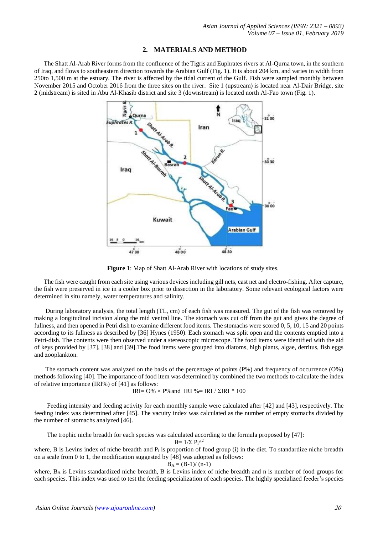# **2. MATERIALS AND METHOD**

 The Shatt Al-Arab River forms from the confluence of the Tigris and Euphrates rivers at Al-Qurna town, in the southern of Iraq, and flows to southeastern direction towards the Arabian Gulf (Fig. 1). It is about 204 km, and varies in width from 250to 1,500 m at the estuary. The river is affected by the tidal current of the Gulf. Fish were sampled monthly between November 2015 and October 2016 from the three sites on the river. Site 1 (upstream) is located near Al-Dair Bridge, site 2 (midstream) is sited in Abu Al-Khasib district and site 3 (downstream) is located north Al-Fao town (Fig. 1).



**Figure 1**: Map of Shatt Al-Arab River with locations of study sites.

 The fish were caught from each site using various devices including gill nets, cast net and electro-fishing. After capture, the fish were preserved in ice in a cooler box prior to dissection in the laboratory. Some relevant ecological factors were determined in situ namely, water temperatures and salinity.

 During laboratory analysis, the total length (TL, cm) of each fish was measured. The gut of the fish was removed by making a longitudinal incision along the mid ventral line. The stomach was cut off from the gut and gives the degree of fullness, and then opened in Petri dish to examine different food items. The stomachs were scored 0, 5, 10, 15 and 20 points according to its fullness as described by [36] Hynes (1950). Each stomach was split open and the contents emptied into a Petri-dish. The contents were then observed under a stereoscopic microscope. The food items were identified with the aid of keys provided by [37], [38] and [39].The food items were grouped into diatoms, high plants, algae, detritus, fish eggs and zooplankton.

 The stomach content was analyzed on the basis of the percentage of points (P%) and frequency of occurrence (O%) methods following [40]. The importance of food item was determined by combined the two methods to calculate the index of relative importance (IRI%) of [41] as follows:

$$
IRI = O\% \times P\% \text{ and } IRI\% = IRI / \Sigma IRI * 100
$$

 Feeding intensity and feeding activity for each monthly sample were calculated after [42] and [43], respectively. The feeding index was determined after [45]. The vacuity index was calculated as the number of empty stomachs divided by the number of stomachs analyzed [46].

The trophic niche breadth for each species was calculated according to the formula proposed by [47]:

$$
B = 1/\Sigma \ P_i^{\Lambda 2}
$$

where, B is Levins index of niche breadth and  $P_i$  is proportion of food group (i) in the diet. To standardize niche breadth on a scale from 0 to 1, the modification suggested by [48] was adopted as follows:

$$
B_A=(B-1)/\left(n-1\right)
$$

where, B<sup>A</sup> is Levins standardized niche breadth, B is Levins index of niche breadth and n is number of food groups for each species. This index was used to test the feeding specialization of each species. The highly specialized feeder's species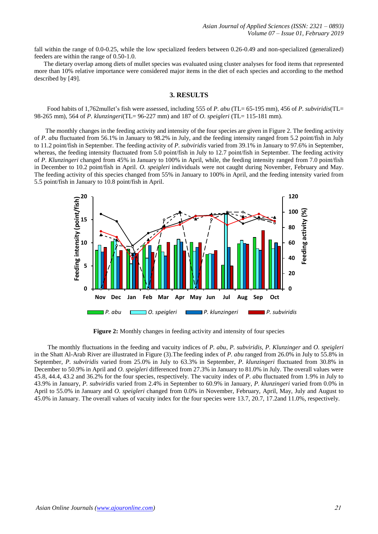fall within the range of 0.0-0.25, while the low specialized feeders between 0.26-0.49 and non-specialized (generalized) feeders are within the range of 0.50-1.0.

 The dietary overlap among diets of mullet species was evaluated using cluster analyses for food items that represented more than 10% relative importance were considered major items in the diet of each species and according to the method described by [49].

# **3. RESULTS**

 Food habits of 1,762mullet's fish were assessed, including 555 of *P. abu* (TL= 65-195 mm), 456 of *P. subviridis*(TL= 98-265 mm), 564 of *P. klunzingeri*(TL= 96-227 mm) and 187 of *O. speigleri* (TL= 115-181 mm).

 The monthly changes in the feeding activity and intensity of the four species are given in Figure 2. The feeding activity of *P. abu* fluctuated from 56.1% in January to 98.2% in July, and the feeding intensity ranged from 5.2 point/fish in July to 11.2 point/fish in September. The feeding activity of *P. subviridis* varied from 39.1% in January to 97.6% in September, whereas, the feeding intensity fluctuated from 5.0 point/fish in July to 12.7 point/fish in September. The feeding activity of *P. Klunzingeri* changed from 45% in January to 100% in April, while, the feeding intensity ranged from 7.0 point/fish in December to 10.2 point/fish in April. *O. speigleri* individuals were not caught during November, February and May. The feeding activity of this species changed from 55% in January to 100% in April, and the feeding intensity varied from 5.5 point/fish in January to 10.8 point/fish in April.



**Figure 2:** Monthly changes in feeding activity and intensity of four species

 The monthly fluctuations in the feeding and vacuity indices of *P. abu*, *P. subviridis, P. Klunzinger* and *O. speigleri* in the Shatt Al-Arab River are illustrated in Figure (3).The feeding index of *P. abu* ranged from 26.0% in July to 55.8% in September, *P. subviridis* varied from 25.0% in July to 63.3% in September, *P. klunzingeri* fluctuated from 30.8% in December to 50.9% in April and *O. speigleri* differenced from 27.3% in January to 81.0% in July. The overall values were 45.8, 44.4, 43.2 and 36.2% for the four species, respectively. The vacuity index of *P. abu* fluctuated from 1.9% in July to 43.9% in January, *P. subviridis* varied from 2.4% in September to 60.9% in January, *P. klunzingeri* varied from 0.0% in April to 55.0% in January and *O. speigleri* changed from 0.0% in November, February, April, May, July and August to 45.0% in January. The overall values of vacuity index for the four species were 13.7, 20.7, 17.2and 11.0%, respectively.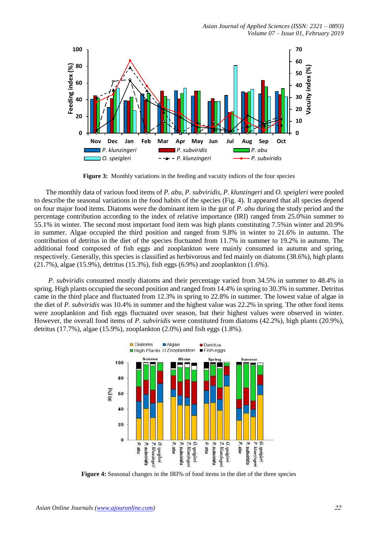

**Figure 3:** Monthly variations in the feeding and vacuity indices of the four species

 The monthly data of various food items of *P. abu*, *P. subviridis*, *P. klunzingeri* and *O. speigleri* were pooled to describe the seasonal variations in the food habits of the species (Fig. 4). It appeared that all species depend on four major food items. Diatoms were the dominant item in the gut of *P. abu* during the study period and the percentage contribution according to the index of relative importance (IRI) ranged from 25.0%in summer to 55.1% in winter. The second most important food item was high plants constituting 7.5%in winter and 20.9% in summer. Algae occupied the third position and ranged from 9.8% in winter to 21.6% in autumn. The contribution of detritus in the diet of the species fluctuated from 11.7% in summer to 19.2% in autumn. The additional food composed of fish eggs and zooplankton were mainly consumed in autumn and spring, respectively. Generally, this species is classified as herbivorous and fed mainly on diatoms (38.6%), high plants (21.7%), algae (15.9%), detritus (15.3%), fish eggs (6.9%) and zooplankton (1.6%).

 *P. subviridis* consumed mostly diatoms and their percentage varied from 34.5% in summer to 48.4% in spring. High plants occupied the second position and ranged from 14.4% in spring to 30.3% in summer. Detritus came in the third place and fluctuated from 12.3% in spring to 22.8% in summer. The lowest value of algae in the diet of *P. subviridis* was 10.4% in summer and the highest value was 22.2% in spring. The other food items were zooplankton and fish eggs fluctuated over season, but their highest values were observed in winter. However, the overall food items of *P. subviridis* were constituted from diatoms (42.2%), high plants (20.9%), detritus (17.7%), algae (15.9%), zooplankton (2.0%) and fish eggs (1.8%).



**Figure 4:** Seasonal changes in the IRI% of food items in the diet of the three species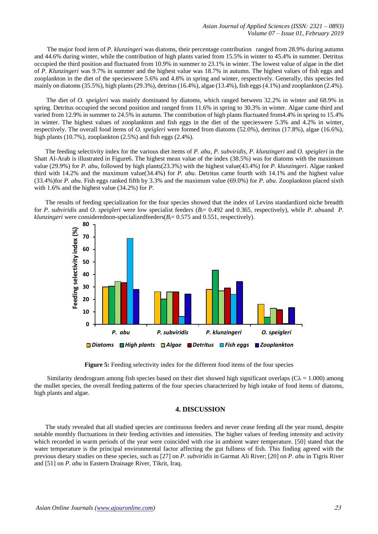The major food item of *P. klunzingeri* was diatoms, their percentage contribution ranged from 28.9% during autumn and 44.6% during winter, while the contribution of high plants varied from 15.5% in winter to 45.4% in summer. Detritus occupied the third position and fluctuated from 10.9% in summer to 23.1% in winter. The lowest value of algae in the diet of *P. Klunzingeri* was 9.7% in summer and the highest value was 18.7% in autumn. The highest values of fish eggs and zooplankton in the diet of the specieswere 5.6% and 4.8% in spring and winter, respectively. Generally, this species fed mainly on diatoms  $(35.5\%)$ , high plants  $(29.3\%)$ , detritus  $(16.4\%)$ , algae  $(13.4\%)$ , fish eggs  $(4.1\%)$  and zooplankton  $(2.4\%)$ .

 The diet of *O. speigleri* was mainly dominated by diatoms, which ranged between 32.2% in winter and 68.9% in spring. Detritus occupied the second position and ranged from 11.6% in spring to 30.3% in winter. Algae came third and varied from 12.9% in summer to 24.5% in autumn. The contribution of high plants fluctuated from4.4% in spring to 15.4% in winter. The highest values of zooplankton and fish eggs in the diet of the specieswere 5.3% and 4.2% in winter, respectively. The overall food items of *O. speigleri* were formed from diatoms (52.0%), detritus (17.8%), algae (16.6%), high plants (10.7%), zooplankton (2.5%) and fish eggs (2.4%).

 The feeding selectivity index for the various diet items of *P. abu*, *P. subviridis*, *P. klunzingeri* and *O. speigleri* in the Shatt Al-Arab is illustrated in Figure6. The highest mean value of the index (38.5%) was for diatoms with the maximum value (29.9%) for *P. abu,* followed by high plants(23.3%) with the highest value(43.4%) for *P. klunzingeri*. Algae ranked third with 14.2% and the maximum value(34.4%) for *P. abu*. Detritus came fourth with 14.1% and the highest value (33.4%)for *P. abu*. Fish eggs ranked fifth by 3.3% and the maximum value (69.0%) for *P. abu*. Zooplankton placed sixth with 1.6% and the highest value (34.2%) for *P.* 

The results of feeding specialization for the four species showed that the index of Levins standardized niche breadth for *P. subviridis* and *O. speigleri* were low specialist feeders (*Bi*= 0.492 and 0.365, respectively), while *P. abu*and *P. klunzingeri* were considerednon-specializedfeeders( $B$ <sup> $\models$ </sup> 0.575 and 0.551, respectively).





Similarity dendrogram among fish species based on their diet showed high significant overlaps ( $C\lambda = 1.000$ ) among the mullet species, the overall feeding patterns of the four species characterized by high intake of food items of diatoms, high plants and algae.

# **4. DISCUSSION**

 The study revealed that all studied species are continuous feeders and never cease feeding all the year round, despite notable monthly fluctuations in their feeding activities and intensities. The higher values of feeding intensity and activity which recorded in warm periods of the year were coincided with rise in ambient water temperature. [50] stated that the water temperature is the principal environmental factor affecting the gut fullness of fish. This finding agreed with the previous dietary studies on these species, such as [27] on *P. subviridis* in Garmat Ali River; [20] on *P. abu* in Tigris River and [51] on *P. abu* in Eastern Drainage River, Tikrit, Iraq.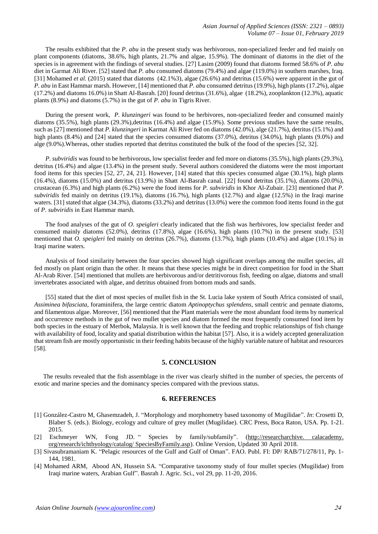The results exhibited that the *P. abu* in the present study was herbivorous, non-specialized feeder and fed mainly on plant components (diatoms, 38.6%, high plants, 21.7% and algae, 15.9%). The dominant of diatoms in the diet of the species is in agreement with the findings of several studies. [27] Lasim (2009) found that diatoms formed 58.6% of *P. abu* diet in Garmat Ali River. [52] stated that *P. abu* consumed diatoms (79.4%) and algae (119.0%) in southern marshes, Iraq. [31] Mohamed *et al.* (2015) stated that diatoms (42.1%3), algae (26.6%) and detritus (15.6%) were apparent in the gut of *P. abu* in East Hammar marsh. However, [14] mentioned that *P. abu* consumed detritus (19.9%), high plants (17.2%), algae (17.2%) and diatoms 16.0%) in Shatt Al-Basrah. [20] found detritus (31.6%), algae (18.2%), zooplankton (12.3%), aquatic plants (8.9%) and diatoms (5.7%) in the gut of *P. abu* in Tigris River.

 During the present work, *P. klunzingeri* was found to be herbivores, non-specialized feeder and consumed mainly diatoms (35.5%), high plants (29.3%),detritus (16.4%) and algae (15.9%). Some previous studies have the same results, such as [27] mentioned that *P. klunzingeri* in Karmat Ali River fed on diatoms (42.0%), alge (21.7%), detritus (15.1%) and high plants (8.4%) and [24] stated that the species consumed diatoms (37.0%), detritus (34.0%), high plants (9.0%) and alge (9.0%).Whereas, other studies reported that detritus constituted the bulk of the food of the species [52, 32].

 *P. subviridis* was found to be herbivorous, low specialist feeder and fed more on diatoms (35.5%), high plants (29.3%), detritus (16.4%) and algae (13.4%) in the present study. Several authors considered the diatoms were the most important food items for this species [52, 27, 24, 21]. However, [14] stated that this species consumed algae (30.1%), high plants (16.4%), diatoms (15.0%) and detritus (13.9%) in Shatt Al-Basrah canal. [22] found detritus (35.1%), diatoms (20.0%), crustacean (6.3%) and high plants (6.2%) were the food items for *P. subviridis* in Khor Al-Zubair. [23] mentioned that *P. subviridis* fed mainly on detritus (19.1%), diatoms (16.7%), high plants (12.7%) and algae (12.5%) in the Iraqi marine waters. [31] stated that algae (34.3%), diatoms (33.2%) and detritus (13.0%) were the common food items found in the gut of *P. subviridis* in East Hammar marsh.

 The food analyses of the gut of *O. speigleri* clearly indicated that the fish was herbivores, low specialist feeder and consumed mainly diatoms (52.0%), detritus (17.8%), algae (16.6%), high plants (10.7%) in the present study. [53] mentioned that *O. speigleri* fed mainly on detritus (26.7%), diatoms (13.7%), high plants (10.4%) and algae (10.1%) in Iraqi marine waters.

 Analysis of food similarity between the four species showed high significant overlaps among the mullet species, all fed mostly on plant origin than the other. It means that these species might be in direct competition for food in the Shatt Al-Arab River. [54] mentioned that mullets are herbivorous and/or detritivorous fish, feeding on algae, diatoms and small invertebrates associated with algae, and detritus obtained from bottom muds and sands.

 [55] stated that the diet of most species of mullet fish in the St. Lucia lake system of South Africa consisted of snail, *Assiminea bifasciata*, foraminifera, the large centric diatom *Aptinoptychus splendens*, small centric and pennate diatoms, and filamentous algae. Moreover, [56] mentioned that the Plant materials were the most abundant food items by numerical and occurrence methods in the gut of two mullet species and diatom formed the most frequently consumed food item by both species in the estuary of Merbok, Malaysia. It is well known that the feeding and trophic relationships of fish change with availability of food, locality and spatial distribution within the habitat [57]. Also, it is a widely accepted generalization that stream fish are mostly opportunistic in their feeding habits because of the highly variable nature of habitat and resources [58].

#### **5. CONCLUSION**

The results revealed that the fish assemblage in the river was clearly shifted in the number of species, the percents of exotic and marine species and the dominancy species compared with the previous status.

## **6. REFERENCES**

- [1] González-Castro M, Ghasemzadeh, J. "Morphology and morphometry based taxonomy of Mugilidae". *In*: Crosetti D, Blaber S. (eds.). Biology, ecology and culture of grey mullet (Mugilidae). CRC Press, Boca Raton, USA. Pp. 1-21. 2015.
- [2] Eschmeyer WN, Fong JD. " Species by family/subfamily". (http://researcharchive. calacademy. org/research/ichthyology/catalog/ SpeciesByFamily.asp). Online Version, Updated 30 April 2018.
- [3] Sivasubramaniam K. "Pelagic resources of the Gulf and Gulf of Oman". FAO. Publ. FI: DP/ RAB/71/278/11, Pp. 1-144, 1981.
- [4] Mohamed ARM, Abood AN, Hussein SA. "Comparative taxonomy study of four mullet species (Mugilidae) from Iraqi marine waters, Arabian Gulf". Basrah J. Agric. Sci., vol 29, pp. 11-20, 2016.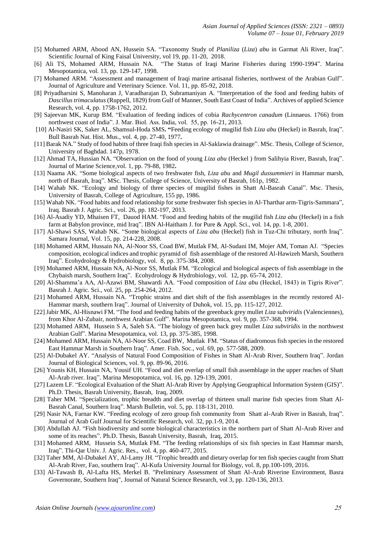- [5] Mohamed ARM, Abood AN, Hussein SA. "Taxonomy Study of *Planiliza* (*Liza*) *abu* in Garmat Ali River, Iraq". Scientific Journal of King Faisal University, vol 19, pp. 11-20, 2018.
- [6] Ali TS, Mohamed ARM, Hussain NA. "The Status of Iraqi Marine Fisheries during 1990-1994". Marina Mesopotamica, vol. 13, pp. 129-147, 1998.
- [7] Mohamed ARM. "Assessment and management of Iraqi marine artisanal fisheries, northwest of the Arabian Gulf". Journal of Agriculture and Veterinary Science. Vol. 11, pp. 85-92, 2018.
- [8] Priyadharsini S, Manoharan J, Varadharajan D, Subramaniyan A. "Interpretation of the food and feeding habits of *Dascillus trimaculatus* (Ruppell, 1829) from Gulf of Manner, South East Coast of India". Archives of applied Science Research, vol. 4, pp. 1758-1762, 2012.
- [9] Sajeevan MK, Kurup BM. "Evaluation of feeding indices of cobia *Rachycentron canadum* (Linnaeus. 1766) from northwest coast of India". J. Mar. Biol. Ass. India, vol. 55, pp. 16-21, 2013.
- [10] Al-Nasiri SK, Saker AL, Shamsul**-**Hoda SMS**. "**Feeding ecology of mugilid fish *Liza abu* (Heckel) in Basrah, Iraq". Bull Basrah Nat. Hist. Mus., vol. 4, pp. 27-40, 1977**.**
- [11] Barak NA." Study of food habits of three Iraqi fish species in Al-Saklawia drainage". MSc. Thesis, College of Science, University of Baghdad. 147p, 1978.
- [12] Ahmad TA, Hussian NA. "Observation on the food of young *Liza abu* (Heckel ) from Salihyia River, Basrah, Iraq". Journal of Marine Science*,*vol. 1, pp. 79-88, 1982**.**
- [13] Naama AK. "Some biological aspects of two freshwater fish, *Liza abu* and *Mugil dussummieri* in Hammar marsh, north of Basrah, Iraq". MSc. Thesis, College of Science, University of Basrah, 161p, 1982.
- [14] Wahab NK. "Ecology and biology of three species of mugilid fishes in Shatt Al-Basrah Canal". Msc. Thesis, University of Basrah, College of Agriculture, 155 pp, 1986.
- [15] Wahab NK. "Food habits and food relationship for some freshwater fish species in Al-Tharthar arm-Tigris-Sammara", Iraq. Basrah J. Agric. Sci., vol. 26, pp. 182-197, 2013.
- [16] Al-Asadiy YD, Mhaisen FT, Dauod HAM. "Food and feeding habits of the mugilid fish *Liza abu* (Heckel) in a fish farm at Babylon province, mid Iraq". IBN Al-Haitham J. for Pure & Appl. Sci., vol. 14, pp. 1-8, 2001.
- [17] Al-Shawi SAS, Wahab NK. "Some biological aspects of *Liza abu* (Heckel) fish in Tuz-Chi tributary, north Iraq". Samara Journal, Vol. 15, pp. 214-228, 2008.
- [18] Mohamed ARM, Hussain NA, Al-Noor SS, Coad BW, Mutlak FM, Al-Sudani IM, Mojer AM, Toman AJ. "Species composition, ecological indices and trophic pyramid of fish assemblage of the restored Al-Hawizeh Marsh, Southern Iraq". Ecohydrology & Hydrobiology, vol. 8, pp. 375-384, 2008.
- [19] Mohamed ARM, Hussain NA, Al-Noor SS, Mutlak FM. "Ecological and biological aspects of fish assemblage in the Chybaish marsh, Southern Iraq". Ecohydrology & Hydrobiology, vol. 12, pp. 65-74, 2012.
- [20] Al-Shamma'a AA, Al-Azawi BM, Shawardi AA. "Food composition of *Liza abu* (Heckel, 1843) in Tigris River". Basrah J. Agric. Sci., vol. 25, pp. 254-264, 2012.
- [21] Mohamed ARM, Hussain NA. "Trophic strains and diet shift of the fish assemblages in the recently restored Al-Hammar marsh, southern Iraq". Journal of University of Duhok, vol. 15, pp. 115-127, 2012.
- [22] Jabir MK, Al-Hisnawi FM. "The food and feeding habits of the greenback grey mullet *Liza subviridis* (Valenciennes), from Khor Al-Zubair, northwest Arabian Gulf". Marina Mesopotamica, vol. 9, pp. 357-368, 1994.
- [23] Mohamed ARM, Hussein S A, Saleh SA. "The biology of green back grey mullet *Liza subviridis* in the northwest Arabian Gulf". Marina Mesopotamica, vol. 13, pp. 375-385, 1998.
- [24] Mohamed ARM, Hussain NA, Al-Noor SS, Coad BW, Mutlak FM. "Status of diadromous fish species in the restored East Hammar Marsh in Southern Iraq". Amer. Fish. Soc., vol. 69, pp. 577-588, 2009.
- [25] Al-Dubakel AY. "Analysis of Natural Food Composition of Fishes in Shatt Al-Arab River, Southern Iraq". Jordan Journal of Biological Sciences, vol. 9, pp. 89-96, 2016.
- [26] Younis KH, Hussain NA, Yousif UH. "Food and diet overlap of small fish assemblage in the upper reaches of Shatt Al-Arab river. Iraq". Marina Mesopotamica, vol. 16, pp. 129-139, 2001.
- [27] Lazem LF. "Ecological Evaluation of the Shatt Al-Arab River by Applying Geographical Information System (GIS)". Ph.D. Thesis, Basrah University, Basrah, Iraq, 2009.
- [28] Taher MM. "Specialization, trophic breadth and diet overlap of thirteen small marine fish species from Shatt Al-Basrah Canal, Southern Iraq". Marsh Bulletin, vol. 5, pp. 118-131, 2010.
- [29] Nasir NA, Farnar KW. "Feeding ecology of zero group fish community from Shatt al-Arab River in Basrah, Iraq". Journal of Arab Gulf Journal for Scientific Research, vol. 32, pp.1-9, 2014.
- [30] Abdullah AJ. "Fish biodiversity and some biological characteristics in the northern part of Shatt Al-Arab River and some of its reaches". Ph.D. Thesis, Basrah University, Basrah, Iraq, 2015.
- [31] Mohamed ARM, Hussein SA, Mutlak FM. "The feeding relationships of six fish species in East Hammar marsh, Iraq". Thi-Qar Univ. J. Agric. Res., vol. 4, pp. 460-477, 2015.
- [32] Taher MM, Al-Dubakel AY, Al-Lamy JH. "Trophic breadth and dietary overlap for ten fish species caught from Shatt Al-Arab River, Fao, southern Iraq". Al-Kufa University Journal for Biology, vol. 8, pp.100-109, 2016.
- [33] Al-Tawash B, Al-Lafta HS, Merkel B. "Preliminary Assessment of Shatt Al-Arab Riverine Environment, Basra Governorate, Southern Iraq", Journal of Natural Science Research, vol 3, pp. 120-136, 2013.